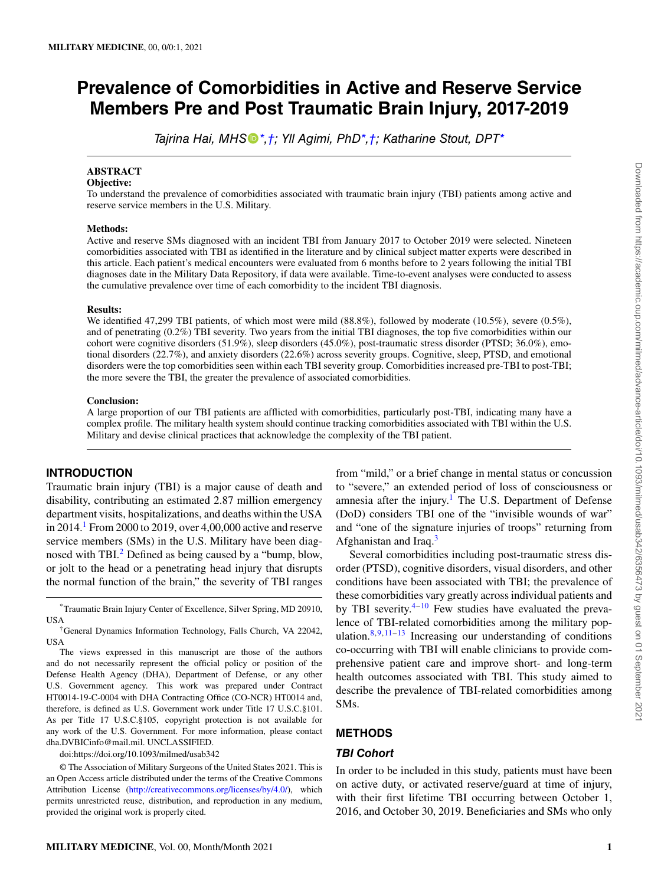# **Prevalence of Comorbidities in Active and Reserve Service Members Pre and Post Traumatic Brain Injury, 2017-2019**

*Tajrina Hai, MHS[\\*,](#page-0-0)[†;](#page-0-1) Yll Agimi, PhD[\\*](#page-0-0)[,†](#page-0-1); Katharine Stout, DP[T\\*](#page-0-0)*

# **ABSTRACT**

#### **Objective:**

To understand the prevalence of comorbidities associated with traumatic brain injury (TBI) patients among active and reserve service members in the U.S. Military.

#### **Methods:**

Active and reserve SMs diagnosed with an incident TBI from January 2017 to October 2019 were selected. Nineteen comorbidities associated with TBI as identified in the literature and by clinical subject matter experts were described in this article. Each patient's medical encounters were evaluated from 6 months before to 2 years following the initial TBI diagnoses date in the Military Data Repository, if data were available. Time-to-event analyses were conducted to assess the cumulative prevalence over time of each comorbidity to the incident TBI diagnosis.

#### **Results:**

We identified 47,299 TBI patients, of which most were mild (88.8%), followed by moderate (10.5%), severe (0.5%), and of penetrating (0.2%) TBI severity. Two years from the initial TBI diagnoses, the top five comorbidities within our cohort were cognitive disorders (51.9%), sleep disorders (45.0%), post-traumatic stress disorder (PTSD; 36.0%), emotional disorders (22.7%), and anxiety disorders (22.6%) across severity groups. Cognitive, sleep, PTSD, and emotional disorders were the top comorbidities seen within each TBI severity group. Comorbidities increased pre-TBI to post-TBI; the more severe the TBI, the greater the prevalence of associated comorbidities.

#### **Conclusion:**

A large proportion of our TBI patients are afflicted with comorbidities, particularly post-TBI, indicating many have a complex profile. The military health system should continue tracking comorbidities associated with TBI within the U.S. Military and devise clinical practices that acknowledge the complexity of the TBI patient.

### **INTRODUCTION**

Traumatic brain injury (TBI) is a major cause of death and disability, contributing an estimated 2.87 million emergency department visits, hospitalizations, and deaths within the USA in  $2014<sup>1</sup>$  $2014<sup>1</sup>$  $2014<sup>1</sup>$  From 2000 to 2019, over 4,00,000 active and reserve service members (SMs) in the U.S. Military have been diag-nosed with TBI.<sup>[2](#page-6-1)</sup> Defined as being caused by a "bump, blow, or jolt to the head or a penetrating head injury that disrupts the normal function of the brain," the severity of TBI ranges

<span id="page-0-0"></span>\*Traumatic Brain Injury Center of Excellence, Silver Spring, MD 20910, USA

The views expressed in this manuscript are those of the authors and do not necessarily represent the official policy or position of the Defense Health Agency (DHA), Department of Defense, or any other U.S. Government agency. This work was prepared under Contract HT0014-19-C-0004 with DHA Contracting Office (CO-NCR) HT0014 and, therefore, is defined as U.S. Government work under Title 17 U.S.C.§101. As per Title 17 U.S.C.§105, copyright protection is not available for any work of the U.S. Government. For more information, please contact dha.DVBICinfo@mail.mil. UNCLASSIFIED.

doi:https://doi.org/10.1093/milmed/usab342

© The Association of Military Surgeons of the United States 2021. This is an Open Access article distributed under the terms of the Creative Commons Attribution License [\(http://creativecommons.org/licenses/by/4.0/](http://creativecommons.org/licenses/by/4.0/)), which permits unrestricted reuse, distribution, and reproduction in any medium, provided the original work is properly cited.

from "mild," or a brief change in mental status or concussion to "severe," an extended period of loss of consciousness or amnesia after the injury.<sup>[1](#page-6-0)</sup> The U.S. Department of Defense (DoD) considers TBI one of the "invisible wounds of war" and "one of the signature injuries of troops" returning from Afghanistan and Iraq.[3](#page-6-2)

Several comorbidities including post-traumatic stress disorder (PTSD), cognitive disorders, visual disorders, and other conditions have been associated with TBI; the prevalence of these comorbidities vary greatly across individual patients and by TBI severity. $4-10$  $4-10$  $4-10$  Few studies have evaluated the prevalence of TBI-related comorbidities among the military population. $8,9,11-13$  $8,9,11-13$  $8,9,11-13$  $8,9,11-13$  $8,9,11-13$  $8,9,11-13$  $8,9,11-13$  Increasing our understanding of conditions co-occurring with TBI will enable clinicians to provide comprehensive patient care and improve short- and long-term health outcomes associated with TBI. This study aimed to describe the prevalence of TBI-related comorbidities among SMs.

# **METHODS**

## *TBI Cohort*

In order to be included in this study, patients must have been on active duty, or activated reserve/guard at time of injury, with their first lifetime TBI occurring between October 1, 2016, and October 30, 2019. Beneficiaries and SMs who only

<span id="page-0-1"></span><sup>†</sup>General Dynamics Information Technology, Falls Church, VA 22042, USA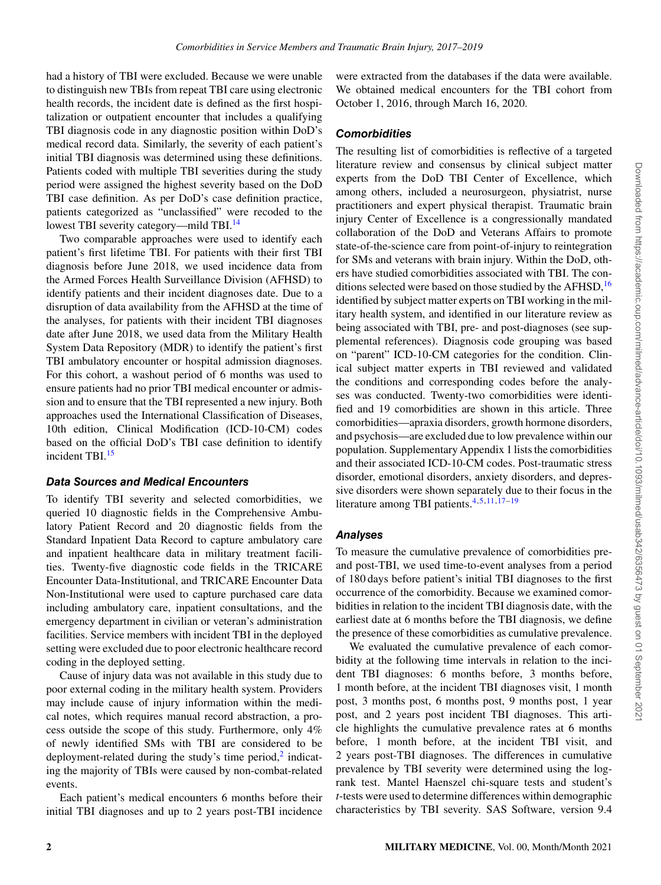had a history of TBI were excluded. Because we were unable to distinguish new TBIs from repeat TBI care using electronic health records, the incident date is defined as the first hospitalization or outpatient encounter that includes a qualifying TBI diagnosis code in any diagnostic position within DoD's medical record data. Similarly, the severity of each patient's initial TBI diagnosis was determined using these definitions. Patients coded with multiple TBI severities during the study period were assigned the highest severity based on the DoD TBI case definition. As per DoD's case definition practice, patients categorized as "unclassified" were recoded to the lowest TBI severity category—mild TBI.<sup>[14](#page-7-5)</sup>

Two comparable approaches were used to identify each patient's first lifetime TBI. For patients with their first TBI diagnosis before June 2018, we used incidence data from the Armed Forces Health Surveillance Division (AFHSD) to identify patients and their incident diagnoses date. Due to a disruption of data availability from the AFHSD at the time of the analyses, for patients with their incident TBI diagnoses date after June 2018, we used data from the Military Health System Data Repository (MDR) to identify the patient's first TBI ambulatory encounter or hospital admission diagnoses. For this cohort, a washout period of 6 months was used to ensure patients had no prior TBI medical encounter or admission and to ensure that the TBI represented a new injury. Both approaches used the International Classification of Diseases, 10th edition, Clinical Modification (ICD-10-CM) codes based on the official DoD's TBI case definition to identify incident TBI.<sup>[15](#page-7-6)</sup>

## *Data Sources and Medical Encounters*

To identify TBI severity and selected comorbidities, we queried 10 diagnostic fields in the Comprehensive Ambulatory Patient Record and 20 diagnostic fields from the Standard Inpatient Data Record to capture ambulatory care and inpatient healthcare data in military treatment facilities. Twenty-five diagnostic code fields in the TRICARE Encounter Data-Institutional, and TRICARE Encounter Data Non-Institutional were used to capture purchased care data including ambulatory care, inpatient consultations, and the emergency department in civilian or veteran's administration facilities. Service members with incident TBI in the deployed setting were excluded due to poor electronic healthcare record coding in the deployed setting.

Cause of injury data was not available in this study due to poor external coding in the military health system. Providers may include cause of injury information within the medical notes, which requires manual record abstraction, a process outside the scope of this study. Furthermore, only 4% of newly identified SMs with TBI are considered to be deployment-related during the study's time period,<sup>[2](#page-6-1)</sup> indicating the majority of TBIs were caused by non-combat-related events.

Each patient's medical encounters 6 months before their initial TBI diagnoses and up to 2 years post-TBI incidence

were extracted from the databases if the data were available. We obtained medical encounters for the TBI cohort from October 1, 2016, through March 16, 2020.

# *Comorbidities*

The resulting list of comorbidities is reflective of a targeted literature review and consensus by clinical subject matter experts from the DoD TBI Center of Excellence, which among others, included a neurosurgeon, physiatrist, nurse practitioners and expert physical therapist. Traumatic brain injury Center of Excellence is a congressionally mandated collaboration of the DoD and Veterans Affairs to promote state-of-the-science care from point-of-injury to reintegration for SMs and veterans with brain injury. Within the DoD, others have studied comorbidities associated with TBI. The con-ditions selected were based on those studied by the AFHSD,<sup>[16](#page-7-7)</sup> identified by subject matter experts on TBI working in the military health system, and identified in our literature review as being associated with TBI, pre- and post-diagnoses (see supplemental references). Diagnosis code grouping was based on "parent" ICD-10-CM categories for the condition. Clinical subject matter experts in TBI reviewed and validated the conditions and corresponding codes before the analyses was conducted. Twenty-two comorbidities were identified and 19 comorbidities are shown in this article. Three comorbidities—apraxia disorders, growth hormone disorders, and psychosis—are excluded due to low prevalence within our population. Supplementary Appendix 1 lists the comorbidities and their associated ICD-10-CM codes. Post-traumatic stress disorder, emotional disorders, anxiety disorders, and depressive disorders were shown separately due to their focus in the literature among TBI patients.<sup>[4](#page-6-3),[5](#page-6-4),[11](#page-7-3),[17](#page-7-8)-[19](#page-7-9)</sup>

# *Analyses*

To measure the cumulative prevalence of comorbidities preand post-TBI, we used time-to-event analyses from a period of 180 days before patient's initial TBI diagnoses to the first occurrence of the comorbidity. Because we examined comorbidities in relation to the incident TBI diagnosis date, with the earliest date at 6 months before the TBI diagnosis, we define the presence of these comorbidities as cumulative prevalence.

We evaluated the cumulative prevalence of each comorbidity at the following time intervals in relation to the incident TBI diagnoses: 6 months before, 3 months before, 1 month before, at the incident TBI diagnoses visit, 1 month post, 3 months post, 6 months post, 9 months post, 1 year post, and 2 years post incident TBI diagnoses. This article highlights the cumulative prevalence rates at 6 months before, 1 month before, at the incident TBI visit, and 2 years post-TBI diagnoses. The differences in cumulative prevalence by TBI severity were determined using the logrank test. Mantel Haenszel chi-square tests and student's *t*-tests were used to determine differences within demographic characteristics by TBI severity. SAS Software, version 9.4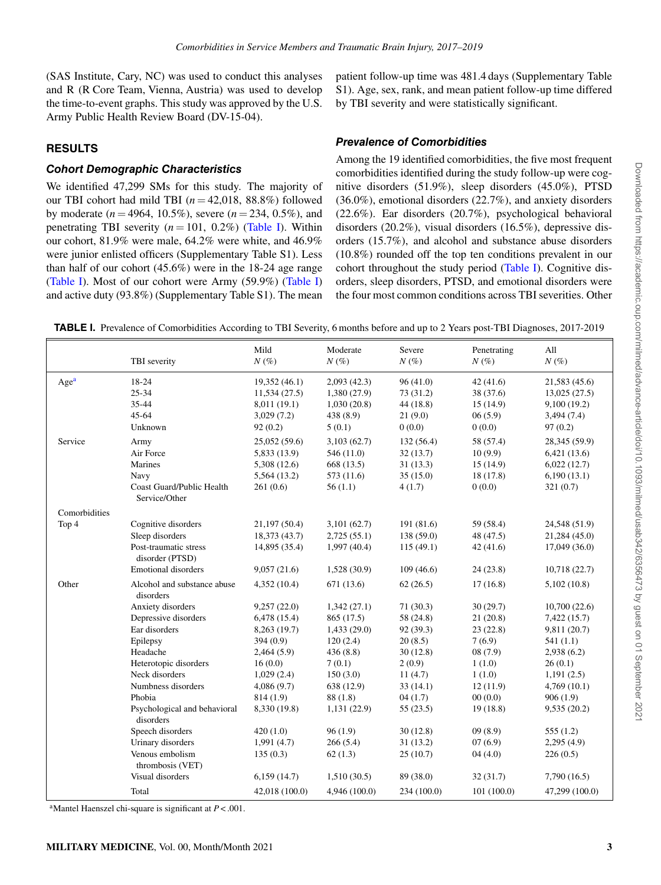(SAS Institute, Cary, NC) was used to conduct this analyses and R (R Core Team, Vienna, Austria) was used to develop the time-to-event graphs. This study was approved by the U.S. Army Public Health Review Board (DV-15-04).

# **RESULTS**

# *Cohort Demographic Characteristics*

We identified 47,299 SMs for this study. The majority of our TBI cohort had mild TBI  $(n = 42.018, 88.8\%)$  followed by moderate ( $n = 4964$ , 10.5%), severe ( $n = 234$ , 0.5%), and penetrating TBI severity  $(n = 101, 0.2\%)$  (Table I). Within our cohort, 81.9% were male, 64.2% were white, and 46.9% were junior enlisted officers (Supplementary Table S1). Less than half of our cohort (45.6%) were in the 18-24 age range (Table I). Most of our cohort were Army (59.9%) (Table I) and active duty (93.8%) (Supplementary Table S1). The mean patient follow-up time was 481.4 days (Supplementary Table S1). Age, sex, rank, and mean patient follow-up time differed by TBI severity and were statistically significant.

# *Prevalence of Comorbidities*

Among the 19 identified comorbidities, the five most frequent comorbidities identified during the study follow-up were cognitive disorders (51.9%), sleep disorders (45.0%), PTSD (36.0%), emotional disorders (22.7%), and anxiety disorders (22.6%). Ear disorders (20.7%), psychological behavioral disorders (20.2%), visual disorders (16.5%), depressive disorders (15.7%), and alcohol and substance abuse disorders (10.8%) rounded off the top ten conditions prevalent in our cohort throughout the study period (Table I). Cognitive disorders, sleep disorders, PTSD, and emotional disorders were the four most common conditions across TBI severities. Other

|                  | TBI severity                                                                                                                                                                                                                                                                                                            | Mild<br>$N(\%)$                                                                                                                                                                                               | Moderate<br>$N(\%)$                                                                                                                                                                               | Severe<br>$N(\%)$                                                                                                                                                                 | Penetrating<br>$N(\%)$                                                                                                                                                  | All<br>$N(\%)$                                                                                                                                                                                                   |
|------------------|-------------------------------------------------------------------------------------------------------------------------------------------------------------------------------------------------------------------------------------------------------------------------------------------------------------------------|---------------------------------------------------------------------------------------------------------------------------------------------------------------------------------------------------------------|---------------------------------------------------------------------------------------------------------------------------------------------------------------------------------------------------|-----------------------------------------------------------------------------------------------------------------------------------------------------------------------------------|-------------------------------------------------------------------------------------------------------------------------------------------------------------------------|------------------------------------------------------------------------------------------------------------------------------------------------------------------------------------------------------------------|
| Age <sup>a</sup> | 18-24<br>25-34<br>35-44<br>45-64<br>Unknown                                                                                                                                                                                                                                                                             | 19,352 (46.1)<br>11,534(27.5)<br>8,011 (19.1)<br>3,029(7.2)<br>92(0.2)                                                                                                                                        | 2,093(42.3)<br>1,380(27.9)<br>1,030(20.8)<br>438 (8.9)<br>5(0.1)                                                                                                                                  | 96(41.0)<br>73 (31.2)<br>44(18.8)<br>21(9.0)<br>0(0.0)                                                                                                                            | 42(41.6)<br>38 (37.6)<br>15(14.9)<br>06(5.9)<br>0(0.0)                                                                                                                  | 21,583 (45.6)<br>13,025 (27.5)<br>9,100 (19.2)<br>3,494 (7.4)<br>97(0.2)                                                                                                                                         |
| Service          | Army<br>Air Force<br>Marines<br>Navy<br><b>Coast Guard/Public Health</b><br>Service/Other                                                                                                                                                                                                                               | 25,052(59.6)<br>5,833 (13.9)<br>5,308 (12.6)<br>5,564 (13.2)<br>261(0.6)                                                                                                                                      | 3,103(62.7)<br>546(11.0)<br>668 (13.5)<br>573 (11.6)<br>56(1.1)                                                                                                                                   | 132(56.4)<br>32(13.7)<br>31(13.3)<br>35(15.0)<br>4(1.7)                                                                                                                           | 58 (57.4)<br>10(9.9)<br>15(14.9)<br>18 (17.8)<br>0(0.0)                                                                                                                 | 28,345 (59.9)<br>6,421(13.6)<br>6,022(12.7)<br>6,190(13.1)<br>321(0.7)                                                                                                                                           |
| Comorbidities    |                                                                                                                                                                                                                                                                                                                         |                                                                                                                                                                                                               |                                                                                                                                                                                                   |                                                                                                                                                                                   |                                                                                                                                                                         |                                                                                                                                                                                                                  |
| Top 4            | Cognitive disorders<br>Sleep disorders<br>Post-traumatic stress<br>disorder (PTSD)<br><b>Emotional disorders</b>                                                                                                                                                                                                        | 21,197 (50.4)<br>18,373 (43.7)<br>14,895 (35.4)<br>9,057(21.6)                                                                                                                                                | 3,101(62.7)<br>2,725(55.1)<br>1,997(40.4)<br>1,528(30.9)                                                                                                                                          | 191 (81.6)<br>138 (59.0)<br>115(49.1)<br>109(46.6)                                                                                                                                | 59 (58.4)<br>48 (47.5)<br>42(41.6)<br>24(23.8)                                                                                                                          | 24,548 (51.9)<br>21,284 (45.0)<br>17,049(36.0)<br>10,718(22.7)                                                                                                                                                   |
| Other            | Alcohol and substance abuse<br>disorders                                                                                                                                                                                                                                                                                | 4,352(10.4)                                                                                                                                                                                                   | 671(13.6)                                                                                                                                                                                         | 62(26.5)                                                                                                                                                                          | 17(16.8)                                                                                                                                                                | 5,102(10.8)                                                                                                                                                                                                      |
|                  | Anxiety disorders<br>Depressive disorders<br>Ear disorders<br>Epilepsy<br>Headache<br>Heterotopic disorders<br>Neck disorders<br>Numbness disorders<br>Phobia<br>Psychological and behavioral<br>disorders<br>Speech disorders<br>Urinary disorders<br>Venous embolism<br>thrombosis (VET)<br>Visual disorders<br>Total | 9,257(22.0)<br>6,478(15.4)<br>8,263(19.7)<br>394(0.9)<br>2,464(5.9)<br>16(0.0)<br>1,029(2.4)<br>4,086(9.7)<br>814(1.9)<br>8,330 (19.8)<br>420(1.0)<br>1,991(4.7)<br>135(0.3)<br>6,159(14.7)<br>42,018 (100.0) | 1,342(27.1)<br>865 (17.5)<br>1,433(29.0)<br>120(2.4)<br>436(8.8)<br>7(0.1)<br>150(3.0)<br>638 (12.9)<br>88 (1.8)<br>1,131 (22.9)<br>96(1.9)<br>266(5.4)<br>62(1.3)<br>1,510(30.5)<br>4,946(100.0) | 71(30.3)<br>58 (24.8)<br>92 (39.3)<br>20(8.5)<br>30(12.8)<br>2(0.9)<br>11(4.7)<br>33(14.1)<br>04(1.7)<br>55(23.5)<br>30(12.8)<br>31(13.2)<br>25(10.7)<br>89 (38.0)<br>234 (100.0) | 30(29.7)<br>21(20.8)<br>23(22.8)<br>7(6.9)<br>08(7.9)<br>1(1.0)<br>1(1.0)<br>12(11.9)<br>00(0.0)<br>19(18.8)<br>09(8.9)<br>07(6.9)<br>04(4.0)<br>32(31.7)<br>101(100.0) | 10,700(22.6)<br>7,422 (15.7)<br>9,811 (20.7)<br>541(1.1)<br>2,938(6.2)<br>26(0.1)<br>1,191(2.5)<br>4,769(10.1)<br>906(1.9)<br>9,535(20.2)<br>555(1.2)<br>2,295(4.9)<br>226(0.5)<br>7,790(16.5)<br>47,299 (100.0) |

<span id="page-2-0"></span><sup>a</sup>Mantel Haenszel chi-square is significant at *P* < .001.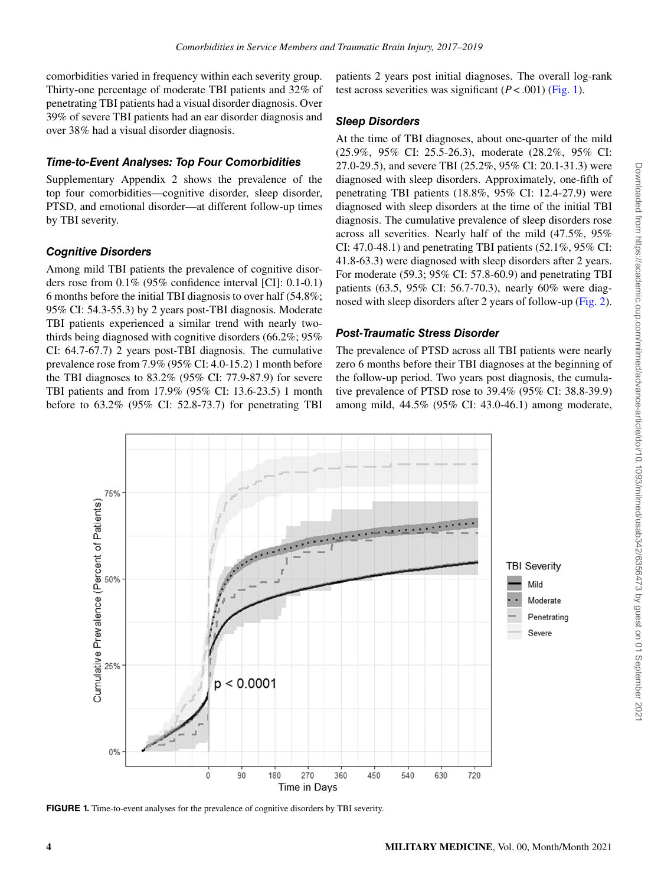comorbidities varied in frequency within each severity group. Thirty-one percentage of moderate TBI patients and 32% of penetrating TBI patients had a visual disorder diagnosis. Over 39% of severe TBI patients had an ear disorder diagnosis and over 38% had a visual disorder diagnosis.

# *Time-to-Event Analyses: Top Four Comorbidities*

Supplementary Appendix 2 shows the prevalence of the top four comorbidities—cognitive disorder, sleep disorder, PTSD, and emotional disorder—at different follow-up times by TBI severity.

# *Cognitive Disorders*

Among mild TBI patients the prevalence of cognitive disorders rose from 0.1% (95% confidence interval [CI]: 0.1-0.1) 6 months before the initial TBI diagnosis to over half (54.8%; 95% CI: 54.3-55.3) by 2 years post-TBI diagnosis. Moderate TBI patients experienced a similar trend with nearly twothirds being diagnosed with cognitive disorders (66.2%; 95% CI: 64.7-67.7) 2 years post-TBI diagnosis. The cumulative prevalence rose from 7.9% (95% CI: 4.0-15.2) 1 month before the TBI diagnoses to 83.2% (95% CI: 77.9-87.9) for severe TBI patients and from 17.9% (95% CI: 13.6-23.5) 1 month before to 63.2% (95% CI: 52.8-73.7) for penetrating TBI patients 2 years post initial diagnoses. The overall log-rank testacross severities was significant  $(P < .001)$  ([Fig. 1](#page-3-0)).

# *Sleep Disorders*

At the time of TBI diagnoses, about one-quarter of the mild (25.9%, 95% CI: 25.5-26.3), moderate (28.2%, 95% CI: 27.0-29.5), and severe TBI (25.2%, 95% CI: 20.1-31.3) were diagnosed with sleep disorders. Approximately, one-fifth of penetrating TBI patients (18.8%, 95% CI: 12.4-27.9) were diagnosed with sleep disorders at the time of the initial TBI diagnosis. The cumulative prevalence of sleep disorders rose across all severities. Nearly half of the mild (47.5%, 95% CI: 47.0-48.1) and penetrating TBI patients (52.1%, 95% CI: 41.8-63.3) were diagnosed with sleep disorders after 2 years. For moderate (59.3; 95% CI: 57.8-60.9) and penetrating TBI patients (63.5, 95% CI: 56.7-70.3), nearly 60% were diagnosed with sleep disorders after 2 years of follow-up([Fig. 2](#page-4-0)).

# *Post-Traumatic Stress Disorder*

The prevalence of PTSD across all TBI patients were nearly zero 6 months before their TBI diagnoses at the beginning of the follow-up period. Two years post diagnosis, the cumulative prevalence of PTSD rose to 39.4% (95% CI: 38.8-39.9) among mild, 44.5% (95% CI: 43.0-46.1) among moderate,

<span id="page-3-0"></span>

**FIGURE 1.** Time-to-event analyses for the prevalence of cognitive disorders by TBI severity.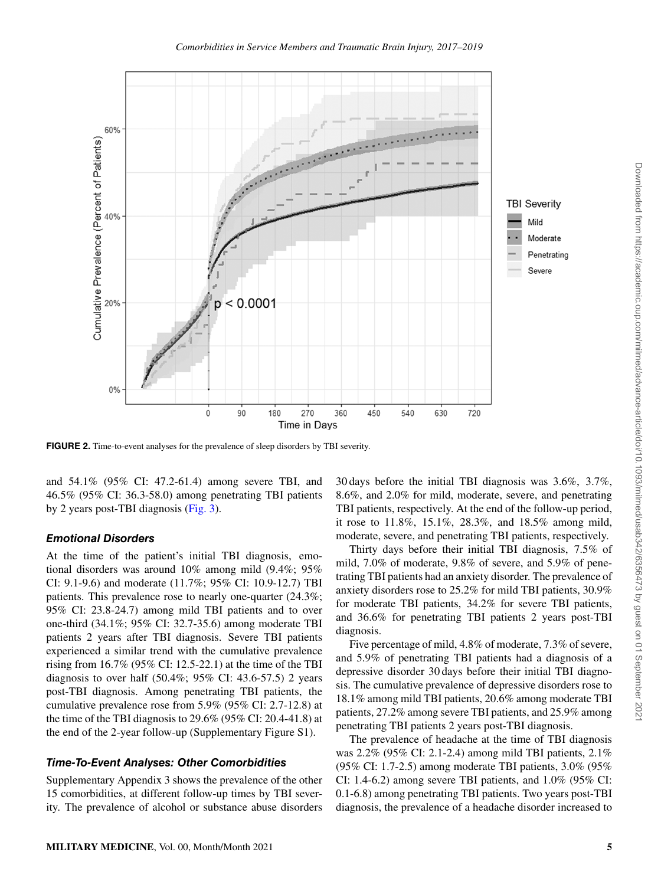<span id="page-4-0"></span>

**FIGURE 2.** Time-to-event analyses for the prevalence of sleep disorders by TBI severity.

and 54.1% (95% CI: 47.2-61.4) among severe TBI, and 46.5% (95% CI: 36.3-58.0) among penetrating TBI patients by 2 years post-TBI diagnosis([Fig. 3](#page-5-0)).

### *Emotional Disorders*

At the time of the patient's initial TBI diagnosis, emotional disorders was around 10% among mild (9.4%; 95% CI: 9.1-9.6) and moderate (11.7%; 95% CI: 10.9-12.7) TBI patients. This prevalence rose to nearly one-quarter (24.3%; 95% CI: 23.8-24.7) among mild TBI patients and to over one-third (34.1%; 95% CI: 32.7-35.6) among moderate TBI patients 2 years after TBI diagnosis. Severe TBI patients experienced a similar trend with the cumulative prevalence rising from 16.7% (95% CI: 12.5-22.1) at the time of the TBI diagnosis to over half  $(50.4\%; 95\% \text{ CI: } 43.6-57.5)$  2 years post-TBI diagnosis. Among penetrating TBI patients, the cumulative prevalence rose from 5.9% (95% CI: 2.7-12.8) at the time of the TBI diagnosis to 29.6% (95% CI: 20.4-41.8) at the end of the 2-year follow-up (Supplementary Figure S1).

#### *Time-To-Event Analyses: Other Comorbidities*

Supplementary Appendix 3 shows the prevalence of the other 15 comorbidities, at different follow-up times by TBI severity. The prevalence of alcohol or substance abuse disorders

30 days before the initial TBI diagnosis was 3.6%, 3.7%, 8.6%, and 2.0% for mild, moderate, severe, and penetrating TBI patients, respectively. At the end of the follow-up period, it rose to 11.8%, 15.1%, 28.3%, and 18.5% among mild, moderate, severe, and penetrating TBI patients, respectively.

Thirty days before their initial TBI diagnosis, 7.5% of mild, 7.0% of moderate, 9.8% of severe, and 5.9% of penetrating TBI patients had an anxiety disorder. The prevalence of anxiety disorders rose to 25.2% for mild TBI patients, 30.9% for moderate TBI patients, 34.2% for severe TBI patients, and 36.6% for penetrating TBI patients 2 years post-TBI diagnosis.

Five percentage of mild, 4.8% of moderate, 7.3% of severe, and 5.9% of penetrating TBI patients had a diagnosis of a depressive disorder 30 days before their initial TBI diagnosis. The cumulative prevalence of depressive disorders rose to 18.1% among mild TBI patients, 20.6% among moderate TBI patients, 27.2% among severe TBI patients, and 25.9% among penetrating TBI patients 2 years post-TBI diagnosis.

The prevalence of headache at the time of TBI diagnosis was 2.2% (95% CI: 2.1-2.4) among mild TBI patients, 2.1% (95% CI: 1.7-2.5) among moderate TBI patients, 3.0% (95% CI: 1.4-6.2) among severe TBI patients, and 1.0% (95% CI: 0.1-6.8) among penetrating TBI patients. Two years post-TBI diagnosis, the prevalence of a headache disorder increased to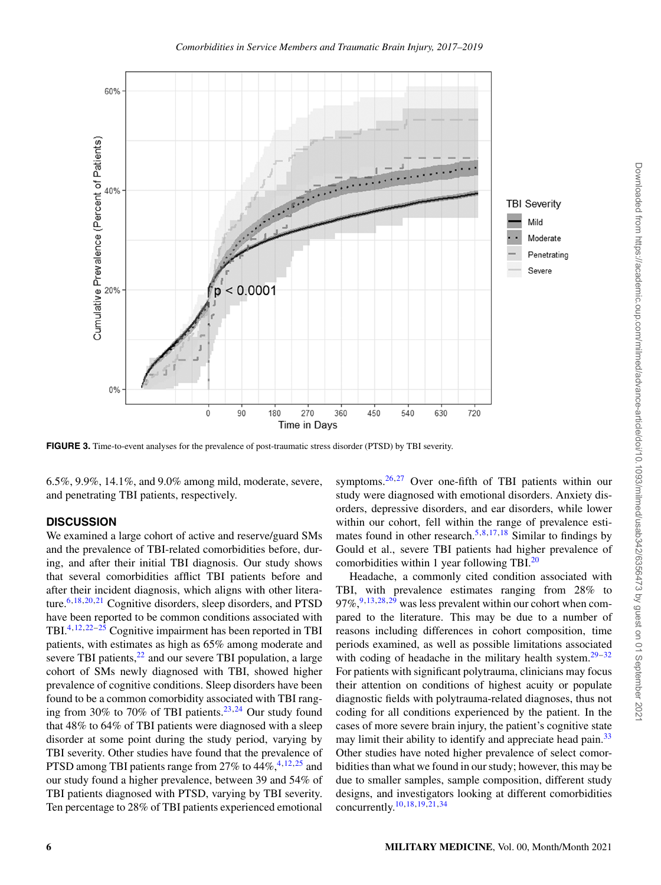<span id="page-5-0"></span>

**FIGURE 3.** Time-to-event analyses for the prevalence of post-traumatic stress disorder (PTSD) by TBI severity.

6.5%, 9.9%, 14.1%, and 9.0% among mild, moderate, severe, and penetrating TBI patients, respectively.

## **DISCUSSION**

We examined a large cohort of active and reserve/guard SMs and the prevalence of TBI-related comorbidities before, during, and after their initial TBI diagnosis. Our study shows that several comorbidities afflict TBI patients before and after their incident diagnosis, which aligns with other literature.  $6,18,20,21$  $6,18,20,21$  $6,18,20,21$  $6,18,20,21$  $6,18,20,21$  $6,18,20,21$  $6,18,20,21$  Cognitive disorders, sleep disorders, and PTSD have been reported to be common conditions associated with TBI.[4](#page-6-3),[12](#page-7-13),[22](#page-7-14)–[25](#page-7-15) Cognitive impairment has been reported in TBI patients, with estimates as high as 65% among moderate and severe TBI patients, $22$  and our severe TBI population, a large cohort of SMs newly diagnosed with TBI, showed higher prevalence of cognitive conditions. Sleep disorders have been found to be a common comorbidity associated with TBI ranging from 30% to 70% of TBI patients. $23,24$  $23,24$  $23,24$  Our study found that 48% to 64% of TBI patients were diagnosed with a sleep disorder at some point during the study period, varying by TBI severity. Other studies have found that the prevalence of PTSD among TBI patients range from 27% to  $44\%, 4,12,25$  $44\%, 4,12,25$  $44\%, 4,12,25$  $44\%, 4,12,25$  $44\%, 4,12,25$  and our study found a higher prevalence, between 39 and 54% of TBI patients diagnosed with PTSD, varying by TBI severity. Ten percentage to 28% of TBI patients experienced emotional

symptoms.[26](#page-7-18),[27](#page-7-19) Over one-fifth of TBI patients within our study were diagnosed with emotional disorders. Anxiety disorders, depressive disorders, and ear disorders, while lower within our cohort, fell within the range of prevalence esti-mates found in other research.<sup>[5](#page-6-4),[8](#page-7-1),[17](#page-7-8),[18](#page-7-10)</sup> Similar to findings by Gould et al., severe TBI patients had higher prevalence of comorbidities within 1 year following TBI. $^{20}$  $^{20}$  $^{20}$ 

Headache, a commonly cited condition associated with TBI, with prevalence estimates ranging from 28% to  $97\%$  $97\%$ ,  $9,13,28,29$  $9,13,28,29$  $9,13,28,29$  $9,13,28,29$  $9,13,28,29$  $9,13,28,29$  was less prevalent within our cohort when compared to the literature. This may be due to a number of reasons including differences in cohort composition, time periods examined, as well as possible limitations associated with coding of headache in the military health system. $29-32$  $29-32$  $29-32$ For patients with significant polytrauma, clinicians may focus their attention on conditions of highest acuity or populate diagnostic fields with polytrauma-related diagnoses, thus not coding for all conditions experienced by the patient. In the cases of more severe brain injury, the patient's cognitive state may limit their ability to identify and appreciate head pain.<sup>[33](#page-7-23)</sup> Other studies have noted higher prevalence of select comorbidities than what we found in our study; however, this may be due to smaller samples, sample composition, different study designs, and investigators looking at different comorbidities concurrently.[10](#page-7-0),[18](#page-7-10),[19](#page-7-9),[21](#page-7-12),[34](#page-7-24)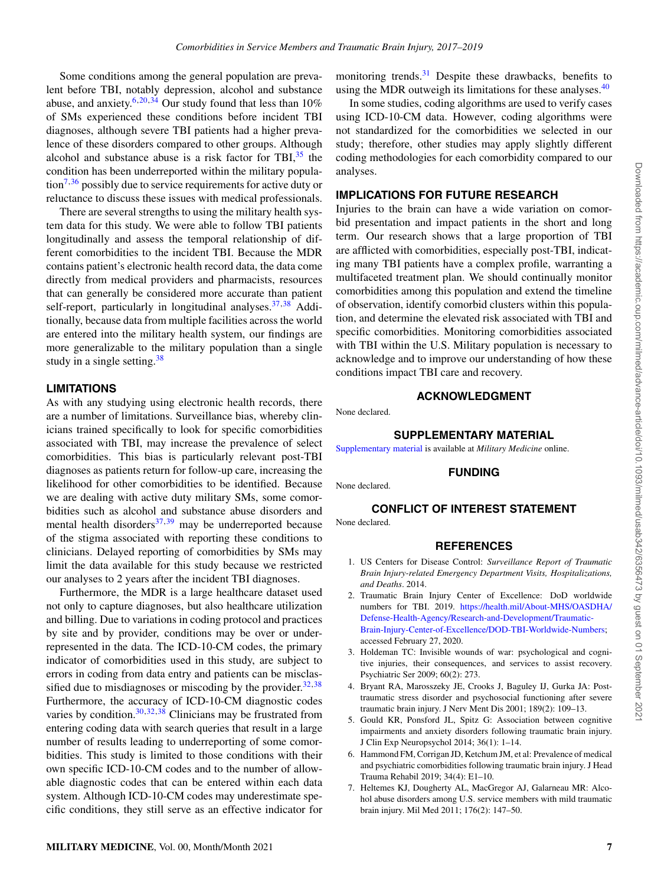Some conditions among the general population are prevalent before TBI, notably depression, alcohol and substance abuse, and anxiety.<sup>[6](#page-6-5),[20](#page-7-11),[34](#page-7-24)</sup> Our study found that less than  $10\%$ of SMs experienced these conditions before incident TBI diagnoses, although severe TBI patients had a higher prevalence of these disorders compared to other groups. Although alcohol and substance abuse is a risk factor for TBI $,35$  $,35$  the condition has been underreported within the military popula- $\[\text{tion}^{7,36}\]$  $\[\text{tion}^{7,36}\]$  $\[\text{tion}^{7,36}\]$  $\[\text{tion}^{7,36}\]$  $\[\text{tion}^{7,36}\]$  possibly due to service requirements for active duty or reluctance to discuss these issues with medical professionals.

There are several strengths to using the military health system data for this study. We were able to follow TBI patients longitudinally and assess the temporal relationship of different comorbidities to the incident TBI. Because the MDR contains patient's electronic health record data, the data come directly from medical providers and pharmacists, resources that can generally be considered more accurate than patient self-report, particularly in longitudinal analyses.  $37,38$  $37,38$  $37,38$  Additionally, because data from multiple facilities across the world are entered into the military health system, our findings are more generalizable to the military population than a single study in a single setting. $38$ 

### **LIMITATIONS**

As with any studying using electronic health records, there are a number of limitations. Surveillance bias, whereby clinicians trained specifically to look for specific comorbidities associated with TBI, may increase the prevalence of select comorbidities. This bias is particularly relevant post-TBI diagnoses as patients return for follow-up care, increasing the likelihood for other comorbidities to be identified. Because we are dealing with active duty military SMs, some comorbidities such as alcohol and substance abuse disorders and mental health disorders $37,39$  $37,39$  $37,39$  may be underreported because of the stigma associated with reporting these conditions to clinicians. Delayed reporting of comorbidities by SMs may limit the data available for this study because we restricted our analyses to 2 years after the incident TBI diagnoses.

Furthermore, the MDR is a large healthcare dataset used not only to capture diagnoses, but also healthcare utilization and billing. Due to variations in coding protocol and practices by site and by provider, conditions may be over or underrepresented in the data. The ICD-10-CM codes, the primary indicator of comorbidities used in this study, are subject to errors in coding from data entry and patients can be misclassified due to misdiagnoses or miscoding by the provider. $32,38$  $32,38$  $32,38$ Furthermore, the accuracy of ICD-10-CM diagnostic codes varies by condition. $30,32,38$  $30,32,38$  $30,32,38$  $30,32,38$  $30,32,38$  Clinicians may be frustrated from entering coding data with search queries that result in a large number of results leading to underreporting of some comorbidities. This study is limited to those conditions with their own specific ICD-10-CM codes and to the number of allowable diagnostic codes that can be entered within each data system. Although ICD-10-CM codes may underestimate specific conditions, they still serve as an effective indicator for

monitoring trends.<sup>[31](#page-7-31)</sup> Despite these drawbacks, benefits to using the MDR outweigh its limitations for these analyses.<sup>[40](#page-7-32)</sup>

In some studies, coding algorithms are used to verify cases using ICD-10-CM data. However, coding algorithms were not standardized for the comorbidities we selected in our study; therefore, other studies may apply slightly different coding methodologies for each comorbidity compared to our analyses.

## **IMPLICATIONS FOR FUTURE RESEARCH**

Injuries to the brain can have a wide variation on comorbid presentation and impact patients in the short and long term. Our research shows that a large proportion of TBI are afflicted with comorbidities, especially post-TBI, indicating many TBI patients have a complex profile, warranting a multifaceted treatment plan. We should continually monitor comorbidities among this population and extend the timeline of observation, identify comorbid clusters within this population, and determine the elevated risk associated with TBI and specific comorbidities. Monitoring comorbidities associated with TBI within the U.S. Military population is necessary to acknowledge and to improve our understanding of how these conditions impact TBI care and recovery.

#### **ACKNOWLEDGMENT**

None declared.

#### **SUPPLEMENTARY MATERIAL**

[Supplementary material](https://academic.oup.com/milmed/article-lookup/doi/https://doi.org/10.1093/milmed/usab342#supplementary-data) is available at *Military Medicine* online.

#### **FUNDING**

None declared.

# **CONFLICT OF INTEREST STATEMENT**

None declared.

#### **REFERENCES**

- <span id="page-6-0"></span>1. US Centers for Disease Control: *Surveillance Report of Traumatic Brain Injury-related Emergency Department Visits, Hospitalizations, and Deaths*. 2014.
- <span id="page-6-1"></span>2. Traumatic Brain Injury Center of Excellence: DoD worldwide numbers for TBI. 2019. [https://health.mil/About-MHS/OASDHA/](https://health.mil/About-MHS/OASDHA/Defense-Health-Agency/Research-and-Development/Traumatic-Brain-Injury-Center-of-Excellence/DOD-TBI-Worldwide-Numbers) [Defense-Health-Agency/Research-and-Development/Traumatic-](https://health.mil/About-MHS/OASDHA/Defense-Health-Agency/Research-and-Development/Traumatic-Brain-Injury-Center-of-Excellence/DOD-TBI-Worldwide-Numbers)[Brain-Injury-Center-of-Excellence/DOD-TBI-Worldwide-Numbers;](https://health.mil/About-MHS/OASDHA/Defense-Health-Agency/Research-and-Development/Traumatic-Brain-Injury-Center-of-Excellence/DOD-TBI-Worldwide-Numbers) accessed February 27, 2020.
- <span id="page-6-2"></span>3. Holdeman TC: Invisible wounds of war: psychological and cognitive injuries, their consequences, and services to assist recovery. Psychiatric Ser 2009; 60(2): 273.
- <span id="page-6-3"></span>4. Bryant RA, Marosszeky JE, Crooks J, Baguley IJ, Gurka JA: Posttraumatic stress disorder and psychosocial functioning after severe traumatic brain injury. J Nerv Ment Dis 2001; 189(2): 109–13.
- <span id="page-6-4"></span>5. Gould KR, Ponsford JL, Spitz G: Association between cognitive impairments and anxiety disorders following traumatic brain injury. J Clin Exp Neuropsychol 2014; 36(1): 1–14.
- <span id="page-6-5"></span>6. Hammond FM, Corrigan JD, Ketchum JM, et al: Prevalence of medical and psychiatric comorbidities following traumatic brain injury. J Head Trauma Rehabil 2019; 34(4): E1–10.
- <span id="page-6-6"></span>7. Heltemes KJ, Dougherty AL, MacGregor AJ, Galarneau MR: Alcohol abuse disorders among U.S. service members with mild traumatic brain injury. Mil Med 2011; 176(2): 147–50.